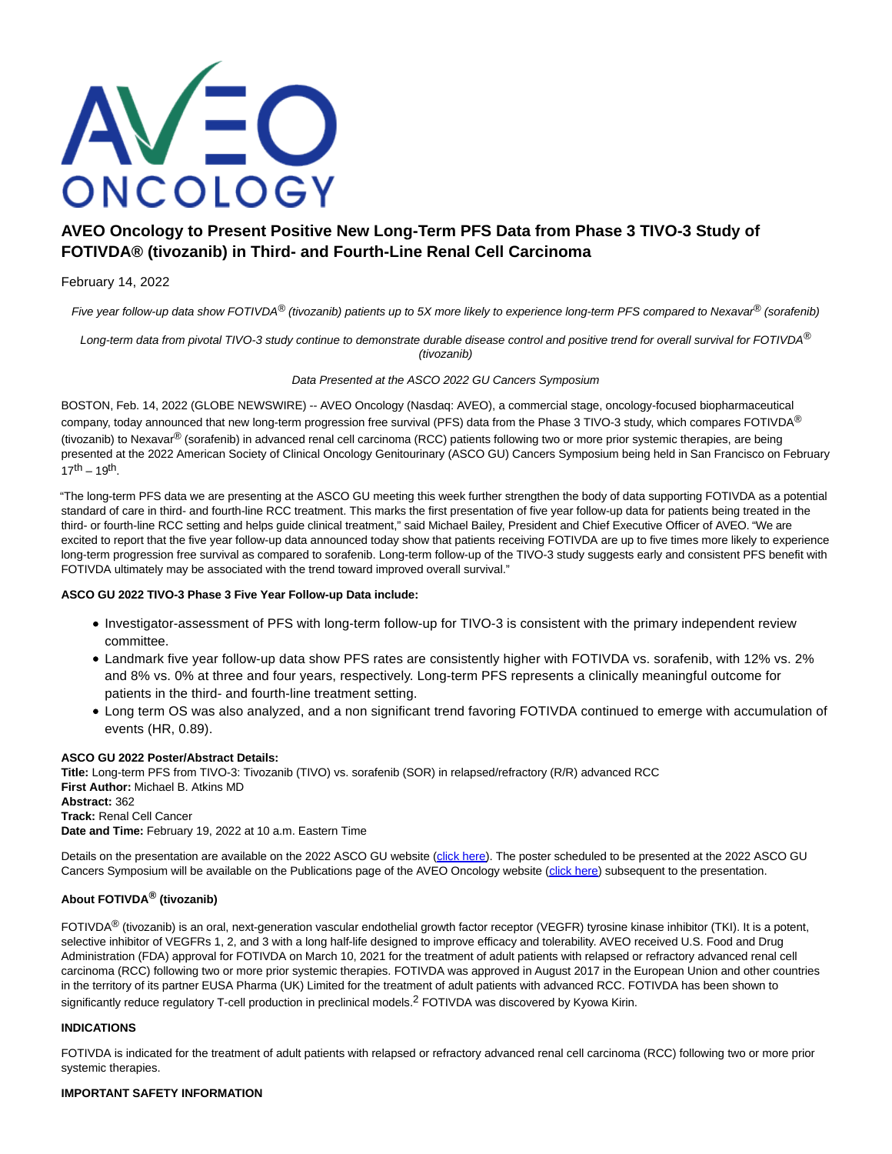

# **AVEO Oncology to Present Positive New Long-Term PFS Data from Phase 3 TIVO-3 Study of FOTIVDA® (tivozanib) in Third- and Fourth-Line Renal Cell Carcinoma**

# February 14, 2022

Five year follow-up data show FOTIVDA<sup>®</sup> (tivozanib) patients up to 5X more likely to experience long-term PFS compared to Nexavar<sup>®</sup> (sorafenib)

Long-term data from pivotal TIVO-3 study continue to demonstrate durable disease control and positive trend for overall survival for FOTIVDA® (tivozanib)

Data Presented at the ASCO 2022 GU Cancers Symposium

BOSTON, Feb. 14, 2022 (GLOBE NEWSWIRE) -- AVEO Oncology (Nasdaq: AVEO), a commercial stage, oncology-focused biopharmaceutical company, today announced that new long-term progression free survival (PFS) data from the Phase 3 TIVO-3 study, which compares FOTIVDA<sup>®</sup> (tivozanib) to Nexavar<sup>®</sup> (sorafenib) in advanced renal cell carcinoma (RCC) patients following two or more prior systemic therapies, are being presented at the 2022 American Society of Clinical Oncology Genitourinary (ASCO GU) Cancers Symposium being held in San Francisco on February  $17^{th} - 19^{th}$ .

"The long-term PFS data we are presenting at the ASCO GU meeting this week further strengthen the body of data supporting FOTIVDA as a potential standard of care in third- and fourth-line RCC treatment. This marks the first presentation of five year follow-up data for patients being treated in the third- or fourth-line RCC setting and helps guide clinical treatment," said Michael Bailey, President and Chief Executive Officer of AVEO. "We are excited to report that the five year follow-up data announced today show that patients receiving FOTIVDA are up to five times more likely to experience long-term progression free survival as compared to sorafenib. Long-term follow-up of the TIVO-3 study suggests early and consistent PFS benefit with FOTIVDA ultimately may be associated with the trend toward improved overall survival."

# **ASCO GU 2022 TIVO-3 Phase 3 Five Year Follow-up Data include:**

- Investigator-assessment of PFS with long-term follow-up for TIVO-3 is consistent with the primary independent review committee.
- Landmark five year follow-up data show PFS rates are consistently higher with FOTIVDA vs. sorafenib, with 12% vs. 2% and 8% vs. 0% at three and four years, respectively. Long-term PFS represents a clinically meaningful outcome for patients in the third- and fourth-line treatment setting.
- Long term OS was also analyzed, and a non significant trend favoring FOTIVDA continued to emerge with accumulation of events (HR, 0.89).

# **ASCO GU 2022 Poster/Abstract Details:**

**Title:** Long-term PFS from TIVO-3: Tivozanib (TIVO) vs. sorafenib (SOR) in relapsed/refractory (R/R) advanced RCC **First Author:** Michael B. Atkins MD **Abstract:** 362 **Track:** Renal Cell Cancer **Date and Time:** February 19, 2022 at 10 a.m. Eastern Time

Details on the presentation are available on the 2022 ASCO GU website [\(click here\)](https://www.globenewswire.com/Tracker?data=c3y6cCcE538g7yAWY3Fp9QsFPAoLRJga38rMeWiWP_qUSq8747CyqviPfFiL8uuwVnmi1iBcvHs-1rNBoXfRc2dPFhSsoDwFZzQGWoB8gQvDzlok4vIHY5e5dcAHu9ERoM5-uBQzwomAlhMRgsCcf3xma_adMB-xybhUk8YX6uBr1johcqQKadKTcIyfTZ0vmQlWkkAC3PeePdkQJoNFcrqXg5GODgeRdW-sbzHt6i2C0t1fk_SrXathm_03kNSEF1AMEIkZ7odEIAykp8jO5JKgUMRFfcq39RxB-AcdS-UVS77sIg6ojgvNJ1JR9phuRo6PoIZHgcGCcWnbWtveYg==). The poster scheduled to be presented at the 2022 ASCO GU Cancers Symposium will be available on the Publications page of the AVEO Oncology website [\(click here\)](https://www.globenewswire.com/Tracker?data=c3y6cCcE538g7yAWY3Fp9YkFFCtsJgBUIrY56CUfwsY68RO6rMrTGsEwdfrZQgQJ_S60AkAHqPD7C2ozs1YLdvQxhAgWuK-hL2tyMx8ISkXFajHuvfUt538pAI1DBCnMeGE6CUs8TXLCTw9yIAY59w==) subsequent to the presentation.

# **About FOTIVDA® (tivozanib)**

 $FOTIVDA^@$  (tivozanib) is an oral, next-generation vascular endothelial growth factor receptor (VEGFR) tyrosine kinase inhibitor (TKI). It is a potent, selective inhibitor of VEGFRs 1, 2, and 3 with a long half-life designed to improve efficacy and tolerability. AVEO received U.S. Food and Drug Administration (FDA) approval for FOTIVDA on March 10, 2021 for the treatment of adult patients with relapsed or refractory advanced renal cell carcinoma (RCC) following two or more prior systemic therapies. FOTIVDA was approved in August 2017 in the European Union and other countries in the territory of its partner EUSA Pharma (UK) Limited for the treatment of adult patients with advanced RCC. FOTIVDA has been shown to significantly reduce regulatory T-cell production in preclinical models.<sup>2</sup> FOTIVDA was discovered by Kyowa Kirin.

# **INDICATIONS**

FOTIVDA is indicated for the treatment of adult patients with relapsed or refractory advanced renal cell carcinoma (RCC) following two or more prior systemic therapies.

# **IMPORTANT SAFETY INFORMATION**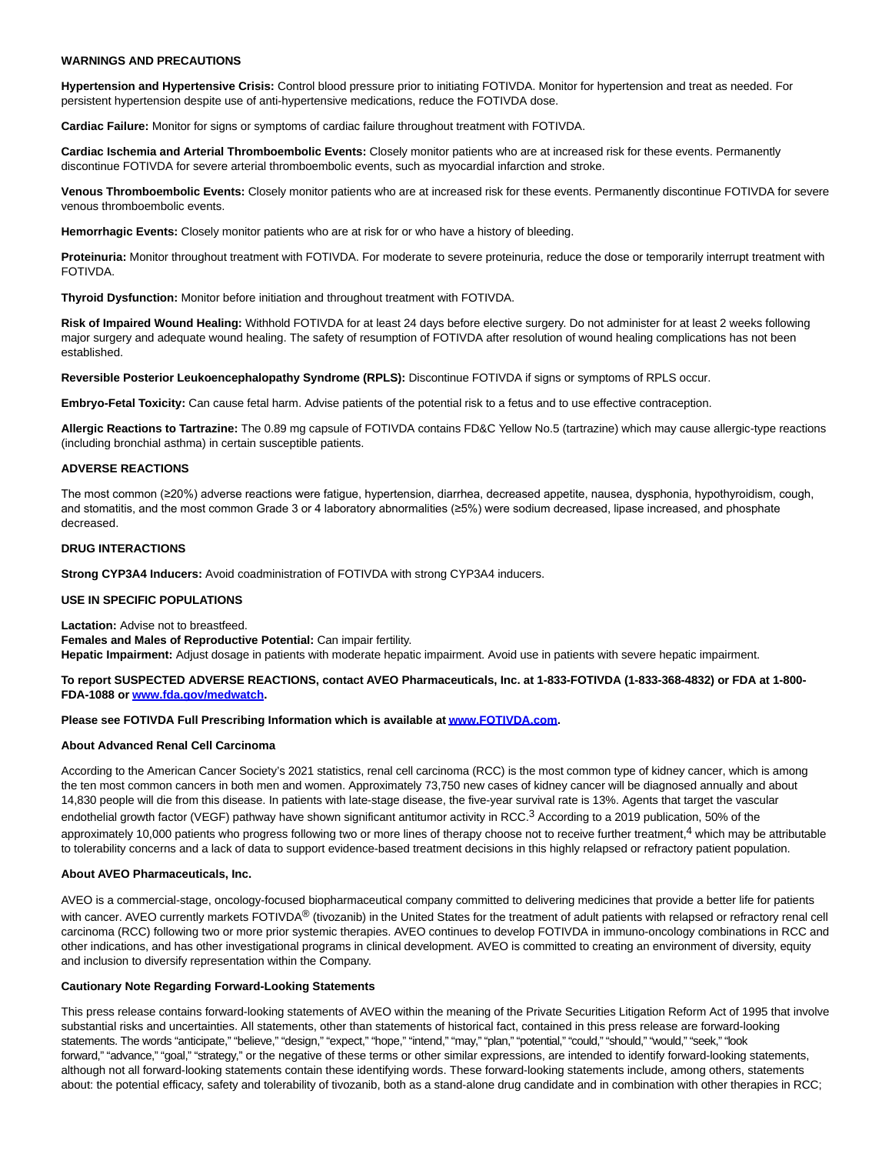### **WARNINGS AND PRECAUTIONS**

**Hypertension and Hypertensive Crisis:** Control blood pressure prior to initiating FOTIVDA. Monitor for hypertension and treat as needed. For persistent hypertension despite use of anti-hypertensive medications, reduce the FOTIVDA dose.

**Cardiac Failure:** Monitor for signs or symptoms of cardiac failure throughout treatment with FOTIVDA.

**Cardiac Ischemia and Arterial Thromboembolic Events:** Closely monitor patients who are at increased risk for these events. Permanently discontinue FOTIVDA for severe arterial thromboembolic events, such as myocardial infarction and stroke.

**Venous Thromboembolic Events:** Closely monitor patients who are at increased risk for these events. Permanently discontinue FOTIVDA for severe venous thromboembolic events.

**Hemorrhagic Events:** Closely monitor patients who are at risk for or who have a history of bleeding.

**Proteinuria:** Monitor throughout treatment with FOTIVDA. For moderate to severe proteinuria, reduce the dose or temporarily interrupt treatment with FOTIVDA.

**Thyroid Dysfunction:** Monitor before initiation and throughout treatment with FOTIVDA.

**Risk of Impaired Wound Healing:** Withhold FOTIVDA for at least 24 days before elective surgery. Do not administer for at least 2 weeks following major surgery and adequate wound healing. The safety of resumption of FOTIVDA after resolution of wound healing complications has not been established.

**Reversible Posterior Leukoencephalopathy Syndrome (RPLS):** Discontinue FOTIVDA if signs or symptoms of RPLS occur.

**Embryo-Fetal Toxicity:** Can cause fetal harm. Advise patients of the potential risk to a fetus and to use effective contraception.

**Allergic Reactions to Tartrazine:** The 0.89 mg capsule of FOTIVDA contains FD&C Yellow No.5 (tartrazine) which may cause allergic-type reactions (including bronchial asthma) in certain susceptible patients.

#### **ADVERSE REACTIONS**

The most common (≥20%) adverse reactions were fatigue, hypertension, diarrhea, decreased appetite, nausea, dysphonia, hypothyroidism, cough, and stomatitis, and the most common Grade 3 or 4 laboratory abnormalities (≥5%) were sodium decreased, lipase increased, and phosphate decreased.

#### **DRUG INTERACTIONS**

**Strong CYP3A4 Inducers:** Avoid coadministration of FOTIVDA with strong CYP3A4 inducers.

# **USE IN SPECIFIC POPULATIONS**

**Lactation:** Advise not to breastfeed. **Females and Males of Reproductive Potential:** Can impair fertility.

**Hepatic Impairment:** Adjust dosage in patients with moderate hepatic impairment. Avoid use in patients with severe hepatic impairment.

# **To report SUSPECTED ADVERSE REACTIONS, contact AVEO Pharmaceuticals, Inc. at 1-833-FOTIVDA (1-833-368-4832) or FDA at 1-800- FDA-1088 or [www.fda.gov/medwatch.](https://www.globenewswire.com/Tracker?data=koNMWW7DC_2E7rcXfEueGF6awf-oO9t-CvLeTxrWR8A7JMRUhqgbcxH3tn7bRvHoISUTH1OUUWG5ENMlBn-nkn5zTXnTzpxKV1uzORXiViY=)**

# **Please see FOTIVDA Full Prescribing Information which is available a[t www.FOTIVDA.com.](https://www.globenewswire.com/Tracker?data=jCqqtehOKTawibTd-UXQr4IZeM5tznFfZe2GqGeBkAq_K4m8BXWj7FQGpPe9jayXSo79OVLzn14B5WnHmG21_Q==)**

#### **About Advanced Renal Cell Carcinoma**

According to the American Cancer Society's 2021 statistics, renal cell carcinoma (RCC) is the most common type of kidney cancer, which is among the ten most common cancers in both men and women. Approximately 73,750 new cases of kidney cancer will be diagnosed annually and about 14,830 people will die from this disease. In patients with late-stage disease, the five-year survival rate is 13%. Agents that target the vascular endothelial growth factor (VEGF) pathway have shown significant antitumor activity in RCC.<sup>3</sup> According to a 2019 publication, 50% of the approximately 10,000 patients who progress following two or more lines of therapy choose not to receive further treatment, $4$  which may be attributable to tolerability concerns and a lack of data to support evidence-based treatment decisions in this highly relapsed or refractory patient population.

# **About AVEO Pharmaceuticals, Inc.**

AVEO is a commercial-stage, oncology-focused biopharmaceutical company committed to delivering medicines that provide a better life for patients with cancer. AVEO currently markets FOTIVDA<sup>®</sup> (tivozanib) in the United States for the treatment of adult patients with relapsed or refractory renal cell carcinoma (RCC) following two or more prior systemic therapies. AVEO continues to develop FOTIVDA in immuno-oncology combinations in RCC and other indications, and has other investigational programs in clinical development. AVEO is committed to creating an environment of diversity, equity and inclusion to diversify representation within the Company.

#### **Cautionary Note Regarding Forward-Looking Statements**

This press release contains forward-looking statements of AVEO within the meaning of the Private Securities Litigation Reform Act of 1995 that involve substantial risks and uncertainties. All statements, other than statements of historical fact, contained in this press release are forward-looking statements. The words "anticipate," "believe," "design," "expect," "hope," "intend," "may," "plan," "potential," "could," "should," "would," "seek," "look forward," "advance," "goal," "strategy," or the negative of these terms or other similar expressions, are intended to identify forward-looking statements, although not all forward-looking statements contain these identifying words. These forward-looking statements include, among others, statements about: the potential efficacy, safety and tolerability of tivozanib, both as a stand-alone drug candidate and in combination with other therapies in RCC;